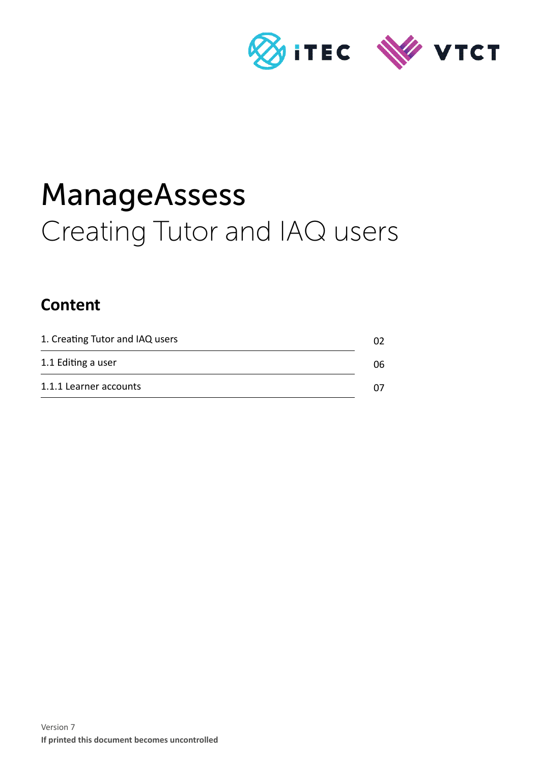

# ManageAssess Creating Tutor and IAQ users

## **Content**

| 1. Creating Tutor and IAQ users |     |
|---------------------------------|-----|
| 1.1 Editing a user              | 06. |
| 1.1.1 Learner accounts          |     |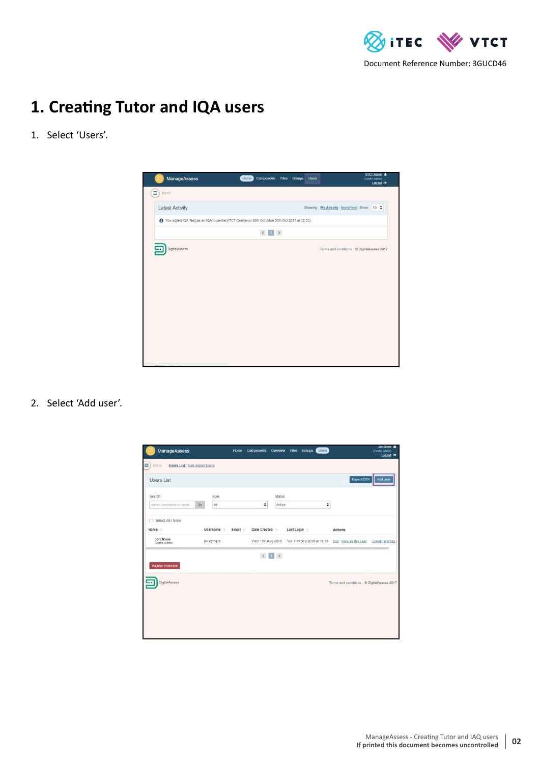

## **1. Creating Tutor and IQA users**

#### 1. Select 'Users'.



2. Select 'Add user'.

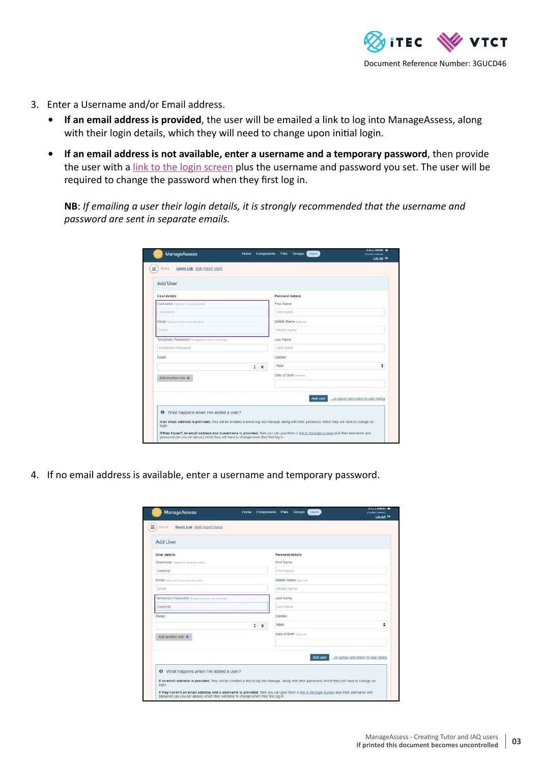

- 3. Enter a Username and/or Email address.
	- **• If an email address is provided**, the user will be emailed a link to log into ManageAssess, along with their login details, which they will need to change upon initial login.
	- **• If an email address is not available, enter a username and a temporary password**, then provide the user with a [link to the login screen](https://www.manageassess.com/accounts/login/) plus the username and password you set. The user will be required to change the password when they first log in.

**NB**: *If emailing a user their login details, it is strongly recommended that the username and password are sent in separate emails.*

| User details                                     | Personal details                                 |
|--------------------------------------------------|--------------------------------------------------|
| <b>Usemame</b> Optional if email provided        | First Name                                       |
| Usemame                                          | First Name                                       |
| Email Optional if assessment provided.           | Middle Name Optional                             |
| Email                                            | Middle Name                                      |
| Temporary Password Changed by user on next login | Last Name                                        |
| Temporary Password                               | Last Name                                        |
| Roles                                            | Gender                                           |
| ٠<br>$\boldsymbol{\mathsf{x}}$                   | ÷<br>Male                                        |
| Add another role +                               | Date of Birth Optional                           |
|                                                  | Add user<br>or cancel and return to user listing |

4. If no email address is available, enter a username and temporary password.

| Add User                                        |                                                  |
|-------------------------------------------------|--------------------------------------------------|
| User details                                    | Personal details                                 |
| <b>Usemame</b> Optional if email provided       | First Name                                       |
| Usertest                                        | First Name                                       |
| Email Optimal if assertante provided            | Middle Name Optional                             |
| Ernall                                          | Middle Name                                      |
| Temporary Password changed by user on next look | Last Name                                        |
| Usertest                                        | Last Name                                        |
| Roles                                           | Gender                                           |
| ÷<br>$\boldsymbol{\mathsf{x}}$                  | ٠<br>Male                                        |
| Add another role +                              | Date of Birth Optional                           |
|                                                 | Add user<br>or cancel and return to user listing |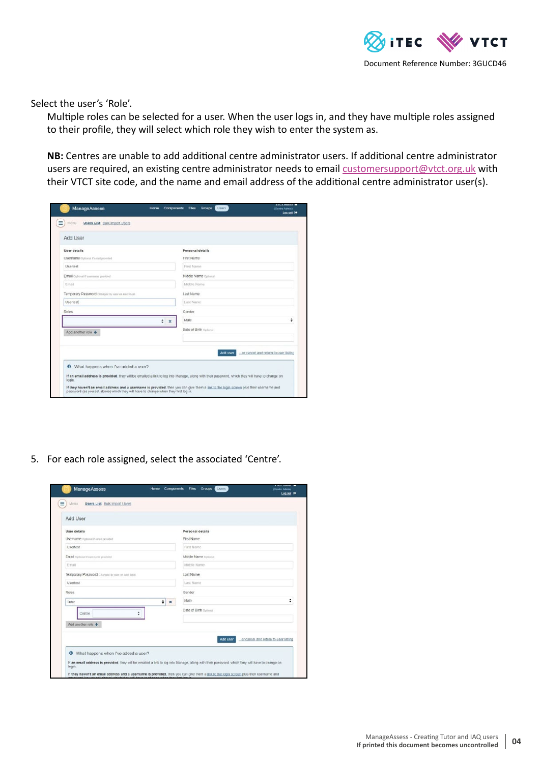

Select the user's 'Role'.

Multiple roles can be selected for a user. When the user logs in, and they have multiple roles assigned to their profile, they will select which role they wish to enter the system as.

**NB:** Centres are unable to add additional centre administrator users. If additional centre administrator users are required, an existing centre administrator needs to email [customersupport@vtct.org.uk](mailto:customersupport%40vtct.org.uk?subject=Additional%20Centre%20Admin%20Users%20-%20ManageAssess) with their VTCT site code, and the name and email address of the additional centre administrator user(s).

| User details<br>Personal details<br>First Name<br>Usemame Optional if a mail provided<br>First Name<br><b>Usertest</b><br>Email Optional if username provided<br>Middle Name Culinnal |   |
|---------------------------------------------------------------------------------------------------------------------------------------------------------------------------------------|---|
|                                                                                                                                                                                       |   |
|                                                                                                                                                                                       |   |
|                                                                                                                                                                                       |   |
| Middle Name<br>Email                                                                                                                                                                  |   |
| Temporary Password Changed by user on next login<br>Last Name                                                                                                                         |   |
| Last Name<br><b>Usertest</b>                                                                                                                                                          |   |
| Roles<br>Gender                                                                                                                                                                       |   |
| Maie<br>÷<br>$\infty$                                                                                                                                                                 | ÷ |
| Date of Birth Optional<br>Add another role +                                                                                                                                          |   |
|                                                                                                                                                                                       |   |
|                                                                                                                                                                                       |   |

5. For each role assigned, select the associated 'Centre'.

| User details<br>Username optonal if email provided |                    | Personal details<br>First Name |          |                                      |
|----------------------------------------------------|--------------------|--------------------------------|----------|--------------------------------------|
| <b>Usertest</b>                                    |                    | First Name                     |          |                                      |
| Email Optional if username provided                |                    | Middle Name Optional           |          |                                      |
| Email                                              |                    | Middle Name                    |          |                                      |
| Temporary Password Changed by user on next topis   |                    | Last Name                      |          |                                      |
| Usertest                                           |                    | Last Name                      |          |                                      |
| Roles.                                             |                    | Gender                         |          |                                      |
| Tutor                                              | $\approx$ $\times$ | Male                           |          | ٠                                    |
| ÷<br>Centre                                        |                    | Date of Birth Optional         |          |                                      |
| Add another role +                                 |                    |                                |          |                                      |
|                                                    |                    |                                | Add user | or cancel and return to user listing |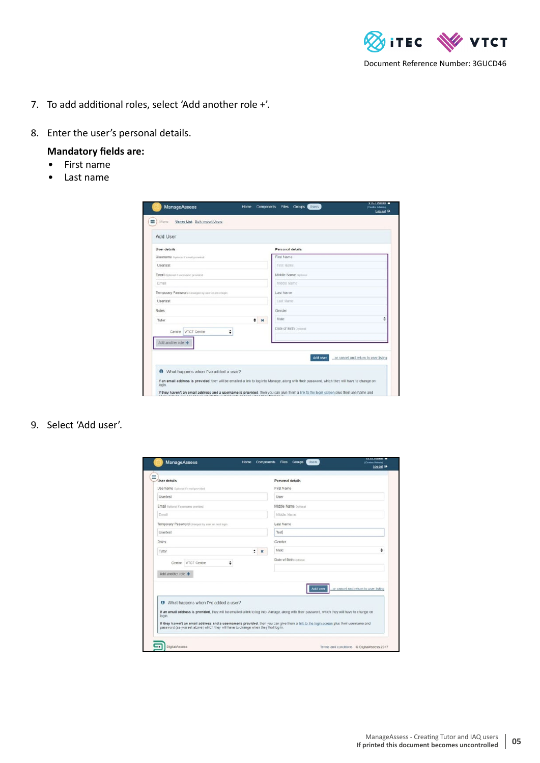

- 7. To add additional roles, select 'Add another role +'.
- 8. Enter the user's personal details.

#### **Mandatory fields are:**

- First name
- Last name

| Add User                                         |                                                  |
|--------------------------------------------------|--------------------------------------------------|
| User details                                     | Personal details                                 |
| <b>Usemame</b> Optimal if equit provided         | First Name                                       |
| Usertest                                         | First Name                                       |
| Email Optional if username provided.             | Middle Name optional                             |
| Email                                            | Middle Name                                      |
| Temporary Password Changed by user on next login | Last Name                                        |
| Usertest                                         | Last Name                                        |
| <b>Roles</b>                                     | Gender                                           |
| $\div$ x<br>Tutor                                | ÷<br>Male                                        |
| ÷<br>VTCT Centre<br>Centre                       | Date of Birth Cotonal                            |
| Add another role +                               | Add user<br>or cancel and return to user listing |

#### 9. Select 'Add user'.

| User details                                              | Personal details                                                                                                                                                                                                             |
|-----------------------------------------------------------|------------------------------------------------------------------------------------------------------------------------------------------------------------------------------------------------------------------------------|
| Usemame Oplional if email provided                        | First Name                                                                                                                                                                                                                   |
| Userlest                                                  | User                                                                                                                                                                                                                         |
| Email Optional if username provided.                      | Middle Name Optional                                                                                                                                                                                                         |
| Email                                                     | Middle Name                                                                                                                                                                                                                  |
| Temporary Password Changed by user on next login          | Last Name                                                                                                                                                                                                                    |
| Usertest                                                  | Test                                                                                                                                                                                                                         |
| Roles                                                     | Gender                                                                                                                                                                                                                       |
| ÷<br>Tutor<br>10                                          | ÷<br>Male                                                                                                                                                                                                                    |
| ÷<br>Centre VTCT Centre<br>Add another role +             | Date of Birth Optional                                                                                                                                                                                                       |
| What happens when I've added a user?<br>$\omega$<br>login | or cancel and return to user listing<br>Add user<br>If an email address is provided, they will be emailed a link to log into Manage, along with their password, which they will have to change on                            |
|                                                           | If they haven't an email address and a username is provided, then you can give them a link to the login screen plus their username and<br>password (as you set above) which they will have to change when they first log in. |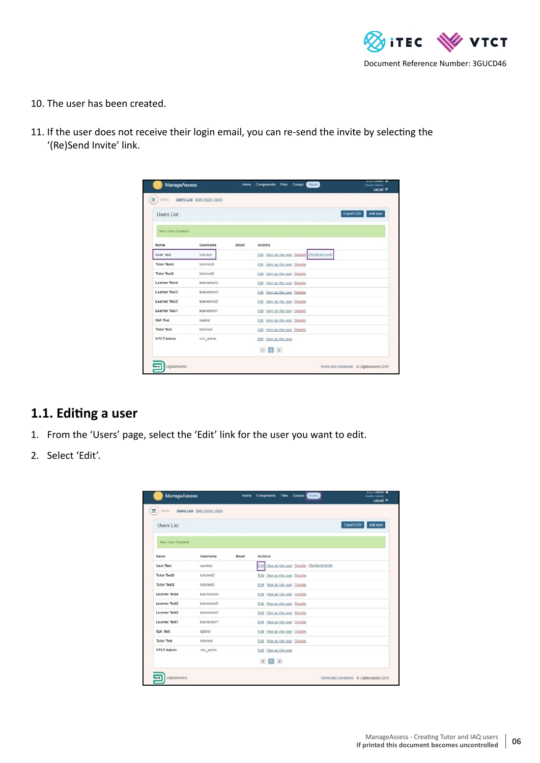

- 10. The user has been created.
- 11. If the user does not receive their login email, you can re-send the invite by selecting the '(Re)Send Invite' link.

| <b>Users List</b>    |              |       |                                |                                                | Export CSV | Add user |
|----------------------|--------------|-------|--------------------------------|------------------------------------------------|------------|----------|
| New User Created!    |              |       |                                |                                                |            |          |
| Name                 | Username     | Email | Actions                        |                                                |            |          |
| <b>Liser Test</b>    | useriest     |       |                                | Edit View as this user Disable (Re)Send Invite |            |          |
| Tutor Test3          | tutortest3   |       | Edit View as this user Disable |                                                |            |          |
| Tutor Test2          | tutoriest2   |       | Edit View as this user Disable |                                                |            |          |
| <b>Learner Test4</b> | learnertest4 |       | Edit View as this user Disable |                                                |            |          |
| Learner Test3        | learnertest3 |       | Edit View as this user Disable |                                                |            |          |
| <b>Learner Test2</b> | learneriest2 |       | Edit View as this user Disable |                                                |            |          |
| Learner Test1        | learnertest1 |       | Edit View as this user Disable |                                                |            |          |
| <b>IQA Test</b>      | igatest      |       | Edit View as this user Disable |                                                |            |          |
| <b>Tutor Test</b>    | tutortest    |       | Edit View as this user Disable |                                                |            |          |
| <b>VTCT Admin</b>    | vtct_admin   |       | Edit View as this user         |                                                |            |          |
|                      |              |       | (1)                            |                                                |            |          |

### **1.1. Editing a user**

- 1. From the 'Users' page, select the 'Edit' link for the user you want to edit.
- 2. Select 'Edit'.

| ≡<br>Menu          | Users List Bulk Import Users |       |                                           |  |                                           |                     |
|--------------------|------------------------------|-------|-------------------------------------------|--|-------------------------------------------|---------------------|
| <b>Users List</b>  |                              |       |                                           |  |                                           | Export CSV Add user |
| New User Created!  |                              |       |                                           |  |                                           |                     |
| Name               | Username                     | Email | <b>Actions</b>                            |  |                                           |                     |
| User Test          | usertest                     |       |                                           |  | View as this user Disable (Re)Send Invite |                     |
| <b>Tutor Test3</b> | tutortest3                   |       | Edit View as this user Disable            |  |                                           |                     |
| <b>Tutor Test2</b> | tutortest2                   |       | Edit View as this user Disable            |  |                                           |                     |
| Learner Test4      | learnertest4                 |       | Edit View as this user Disable            |  |                                           |                     |
| Learner Test3      | learnertest3                 |       | Edit View as this user Disable            |  |                                           |                     |
| Learner Test2      | learnertest2                 |       | Edit View as this user Disable            |  |                                           |                     |
| Learner Test1      | learnertest1                 |       | Edit View as this user Disable            |  |                                           |                     |
| <b>IQA Test</b>    | igatest                      |       | Edit View as this user Disable            |  |                                           |                     |
| <b>Tutor Test</b>  | tutortest                    |       | Edit View as this user Disable            |  |                                           |                     |
| <b>VTCT Admin</b>  | vict_admin                   |       | Edit View as this user                    |  |                                           |                     |
|                    |                              |       | $\mathcal{L} = \mathcal{L} - \mathcal{F}$ |  |                                           |                     |